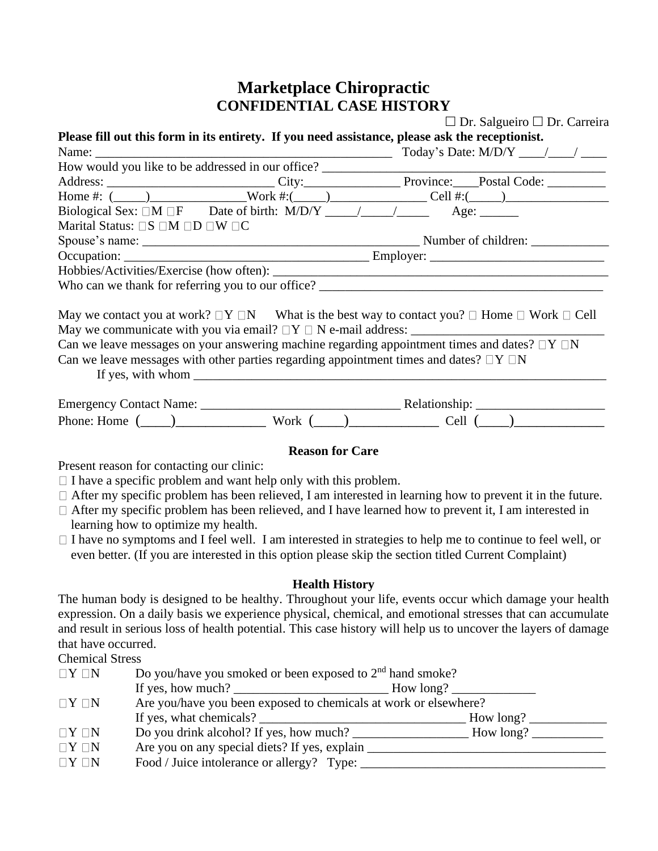## **Marketplace Chiropractic CONFIDENTIAL CASE HISTORY**

|                                                      |                                                                                                  | $\Box$ Dr. Salgueiro $\Box$ Dr. Carreira                                                                             |  |  |
|------------------------------------------------------|--------------------------------------------------------------------------------------------------|----------------------------------------------------------------------------------------------------------------------|--|--|
|                                                      |                                                                                                  | Please fill out this form in its entirety. If you need assistance, please ask the receptionist.                      |  |  |
|                                                      |                                                                                                  |                                                                                                                      |  |  |
|                                                      |                                                                                                  |                                                                                                                      |  |  |
|                                                      |                                                                                                  |                                                                                                                      |  |  |
|                                                      |                                                                                                  | Home #: $(\_\_\_\_\_\_\_\_\_$ Work #: $(\_\_\_\_\_\_\_\_\_$ Cell #: $(\_\_\_\_\_\_\_\_$                              |  |  |
|                                                      |                                                                                                  |                                                                                                                      |  |  |
| Marital Status: $\Box S \Box M \Box D \Box W \Box C$ |                                                                                                  |                                                                                                                      |  |  |
|                                                      |                                                                                                  |                                                                                                                      |  |  |
|                                                      |                                                                                                  |                                                                                                                      |  |  |
|                                                      |                                                                                                  |                                                                                                                      |  |  |
|                                                      |                                                                                                  |                                                                                                                      |  |  |
|                                                      |                                                                                                  | May we contact you at work? $\Box Y \Box N$ What is the best way to contact you? $\Box$ Home $\Box$ Work $\Box$ Cell |  |  |
|                                                      |                                                                                                  |                                                                                                                      |  |  |
|                                                      |                                                                                                  | Can we leave messages on your answering machine regarding appointment times and dates? $\Box Y \Box N$               |  |  |
|                                                      | Can we leave messages with other parties regarding appointment times and dates? $\Box Y \Box N$  |                                                                                                                      |  |  |
|                                                      | If yes, with whom $\frac{1}{\sqrt{1-\frac{1}{2}}}\left\{ \frac{1}{\sqrt{1-\frac{1}{2}}}\right\}$ |                                                                                                                      |  |  |
|                                                      |                                                                                                  |                                                                                                                      |  |  |
|                                                      |                                                                                                  | Phone: Home $(\_\_)$ Work $(\_\_)$ Cell $(\_\_)$                                                                     |  |  |

## **Reason for Care**

Present reason for contacting our clinic:

- $\Box$  I have a specific problem and want help only with this problem.
- $\Box$  After my specific problem has been relieved, I am interested in learning how to prevent it in the future.
- $\Box$  After my specific problem has been relieved, and I have learned how to prevent it, I am interested in learning how to optimize my health.
- $\Box$  I have no symptoms and I feel well. I am interested in strategies to help me to continue to feel well, or even better. (If you are interested in this option please skip the section titled Current Complaint)

## **Health History**

The human body is designed to be healthy. Throughout your life, events occur which damage your health expression. On a daily basis we experience physical, chemical, and emotional stresses that can accumulate and result in serious loss of health potential. This case history will help us to uncover the layers of damage that have occurred.

Chemical Stress

| $\Box Y \Box N$ | Do you/have you smoked or been exposed to $2nd$ hand smoke? |                                                                  |  |  |
|-----------------|-------------------------------------------------------------|------------------------------------------------------------------|--|--|
|                 |                                                             |                                                                  |  |  |
| $\Box Y \Box N$ |                                                             | Are you/have you been exposed to chemicals at work or elsewhere? |  |  |
|                 | If yes, what chemicals?                                     | How long?                                                        |  |  |
| $\Box Y \Box N$ | Do you drink alcohol? If yes, how much?                     |                                                                  |  |  |
| $\Box Y \Box N$ | Are you on any special diets? If yes, explain               |                                                                  |  |  |
| $\Box Y \Box N$ | Food / Juice intolerance or allergy? Type:                  |                                                                  |  |  |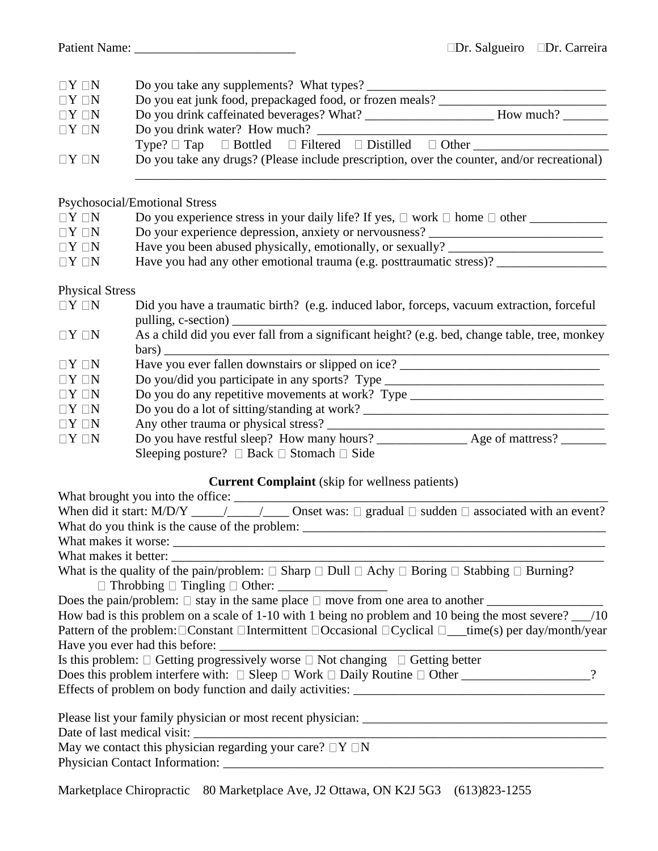| $\Box Y \Box N$ |                        |                                                                                                                                                                               |  |  |  |  |
|-----------------|------------------------|-------------------------------------------------------------------------------------------------------------------------------------------------------------------------------|--|--|--|--|
| $\Box Y \Box N$ |                        |                                                                                                                                                                               |  |  |  |  |
| $\Box Y \Box N$ |                        |                                                                                                                                                                               |  |  |  |  |
| $\Box Y \Box N$ |                        |                                                                                                                                                                               |  |  |  |  |
|                 |                        |                                                                                                                                                                               |  |  |  |  |
| $\Box Y \Box N$ |                        | Do you take any drugs? (Please include prescription, over the counter, and/or recreational)                                                                                   |  |  |  |  |
|                 |                        | <b>Psychosocial/Emotional Stress</b>                                                                                                                                          |  |  |  |  |
| $\Box Y \Box N$ |                        | Do you experience stress in your daily life? If yes, $\Box$ work $\Box$ home $\Box$ other                                                                                     |  |  |  |  |
| $\Box Y \Box N$ |                        | Do your experience depression, anxiety or nervousness? _________________________                                                                                              |  |  |  |  |
| $\Box Y \Box N$ |                        | Have you been abused physically, emotionally, or sexually? ______________________                                                                                             |  |  |  |  |
| $\Box Y \Box N$ |                        |                                                                                                                                                                               |  |  |  |  |
|                 | <b>Physical Stress</b> |                                                                                                                                                                               |  |  |  |  |
| $\Box Y \Box N$ |                        | Did you have a traumatic birth? (e.g. induced labor, forceps, vacuum extraction, forceful                                                                                     |  |  |  |  |
| $\Box Y \Box N$ |                        | bars)                                                                                                                                                                         |  |  |  |  |
| $\Box Y \Box N$ |                        | Have you ever fallen downstairs or slipped on ice? _____________________________                                                                                              |  |  |  |  |
| $\Box Y \Box N$ |                        | Do you/did you participate in any sports? Type _________________________________                                                                                              |  |  |  |  |
| $\Box Y \Box N$ |                        | Do you do any repetitive movements at work? Type _______________________________                                                                                              |  |  |  |  |
| $\Box Y \Box N$ |                        |                                                                                                                                                                               |  |  |  |  |
| $\Box Y \Box N$ |                        |                                                                                                                                                                               |  |  |  |  |
| $\Box Y \Box N$ |                        |                                                                                                                                                                               |  |  |  |  |
|                 |                        | Sleeping posture? $\Box$ Back $\Box$ Stomach $\Box$ Side                                                                                                                      |  |  |  |  |
|                 |                        | <b>Current Complaint</b> (skip for wellness patients)                                                                                                                         |  |  |  |  |
|                 |                        |                                                                                                                                                                               |  |  |  |  |
|                 |                        |                                                                                                                                                                               |  |  |  |  |
|                 |                        |                                                                                                                                                                               |  |  |  |  |
|                 |                        |                                                                                                                                                                               |  |  |  |  |
|                 | What makes it better:  |                                                                                                                                                                               |  |  |  |  |
|                 |                        | What is the quality of the pain/problem: $\Box$ Sharp $\Box$ Dull $\Box$ Achy $\Box$ Boring $\Box$ Stabbing $\Box$ Burning?<br>$\Box$ Throbbing $\Box$ Tingling $\Box$ Other: |  |  |  |  |
|                 |                        | Does the pain/problem: $\Box$ stay in the same place $\Box$ move from one area to another $\Box$                                                                              |  |  |  |  |
|                 |                        | How bad is this problem on a scale of 1-10 with 1 being no problem and 10 being the most severe? __/10                                                                        |  |  |  |  |
|                 |                        | Pattern of the problem: $\Box$ Constant $\Box$ Intermittent $\Box$ Occasional $\Box$ Cyclical $\Box$ _time(s) per day/month/year                                              |  |  |  |  |
|                 |                        |                                                                                                                                                                               |  |  |  |  |
|                 |                        | Is this problem: $\Box$ Getting progressively worse $\Box$ Not changing $\Box$ Getting better                                                                                 |  |  |  |  |
|                 |                        | Does this problem interfere with: $\Box$ Sleep $\Box$ Work $\Box$ Daily Routine $\Box$ Other __________________?                                                              |  |  |  |  |
|                 |                        |                                                                                                                                                                               |  |  |  |  |
|                 |                        |                                                                                                                                                                               |  |  |  |  |
|                 |                        |                                                                                                                                                                               |  |  |  |  |
|                 |                        | May we contact this physician regarding your care? $\Box Y \Box N$                                                                                                            |  |  |  |  |
|                 |                        |                                                                                                                                                                               |  |  |  |  |